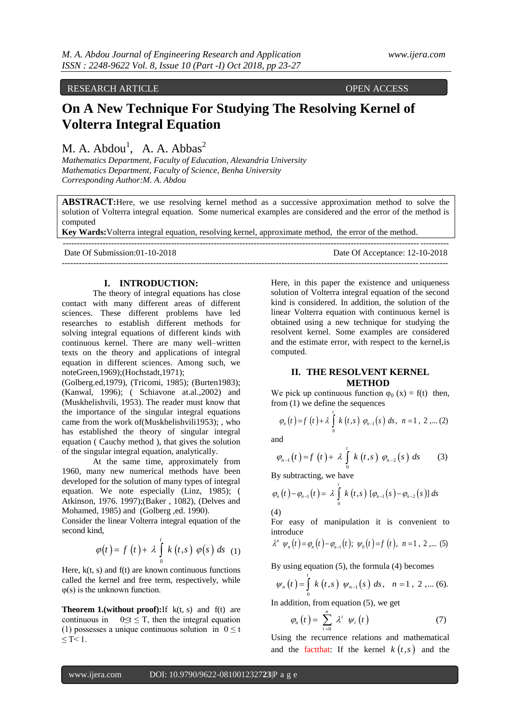RESEARCH ARTICLE **CONSERVANCESS** 

# **On A New Technique For Studying The Resolving Kernel of Volterra Integral Equation**

M. A.  $Abdou<sup>1</sup>$ , A. A.  $Abbas<sup>2</sup>$ 

*Mathematics Department, Faculty of Education, Alexandria University Mathematics Department, Faculty of Science, Benha University Corresponding Author:M. A. Abdou*

**ABSTRACT:**Here, we use resolving kernel method as a successive approximation method to solve the solution of Volterra integral equation. Some numerical examples are considered and the error of the method is computed

**Key Wards:**Volterra integral equation, resolving kernel, approximate method, the error of the method.  $-++++++++++$ 

| Date Of Submission:01-10-2018 | Date Of Acceptance: 12-10-2018 |
|-------------------------------|--------------------------------|
|                               |                                |

## **I. INTRODUCTION:**

The theory of integral equations has close contact with many different areas of different sciences. These different problems have led researches to establish different methods for solving integral equations of different kinds with continuous kernel. There are many well–written texts on the theory and applications of integral equation in different sciences. Among such, we noteGreen,1969);(Hochstadt,1971);

(Golberg.ed,1979), (Tricomi, 1985); (Burten1983); (Kanwal, 1996); ( Schiavone at.al.,2002) and (Muskhelishvili, 1953). The reader must know that the importance of the singular integral equations came from the work of(Muskhelishvili1953); , who has established the theory of singular integral equation ( Cauchy method ), that gives the solution of the singular integral equation, analytically.

At the same time, approximately from 1960, many new numerical methods have been developed for the solution of many types of integral equation. We note especially (Linz, 1985); ( Atkinson, 1976. 1997);(Baker , 1082), (Delves and Mohamed, 1985) and (Golberg ,ed. 1990).

Consider the linear Volterra integral equation of the second kind,

$$
\varphi(t) = f(t) + \lambda \int_{0}^{t} k(t,s) \varphi(s) ds
$$
 (1)

Here,  $k(t, s)$  and  $f(t)$  are known continuous functions called the kernel and free term, respectively, while  $\varphi(s)$  is the unknown function.

**Theorem 1.(without proof):**If k(t, s) and f(t) are continuous in  $0 \le t \le T$ , then the integral equation (1) possesses a unique continuous solution in  $0 \le t$  $\leq T \leq 1$ .

Here, in this paper the existence and uniqueness solution of Volterra integral equation of the second kind is considered. In addition, the solution of the linear Volterra equation with continuous kernel is obtained using a new technique for studying the resolvent kernel. Some examples are considered and the estimate error, with respect to the kernel,is computed.

## **II. THE RESOLVENT KERNEL METHOD**

We pick up continuous function  $\varphi_0(x) = f(t)$  then,

from (1) we define the sequences  
\n
$$
\varphi_n(t) = f(t) + \lambda \int_0^t k(t,s) \varphi_{n-1}(s) ds, \quad n = 1, 2, ... (2)
$$

and

and  
\n
$$
\varphi_{n-1}(t) = f(t) + \lambda \int_{0}^{t} k(t,s) \varphi_{n-2}(s) ds
$$
 (3)

By subtracting, we have

By subtracting, we have  
\n
$$
\varphi_n(t) - \varphi_{n-1}(t) = \lambda \int_0^t k(t,s) [\varphi_{n-1}(s) - \varphi_{n-2}(s)] ds
$$

(4)

For easy of manipulation it is convenient to introduce

introduce  
\n
$$
\lambda^n \psi_n(t) = \varphi_n(t) - \varphi_{n-1}(t); \psi_0(t) = f(t), n = 1, 2, ...
$$
 (5)

By using equation (5), the formula (4) becomes  
\n
$$
\psi_n(t) = \int_0^t k(t,s) \psi_{n-1}(s) ds, \quad n = 1, 2, ... (6).
$$

In addition, from equation (5), we get  
\n
$$
\varphi_n(t) = \sum_{i=0}^n \lambda^i \ \psi_i(t) \tag{7}
$$

Using the recurrence relations and mathematical and the factthat: If the kernel  $k(t,s)$  and the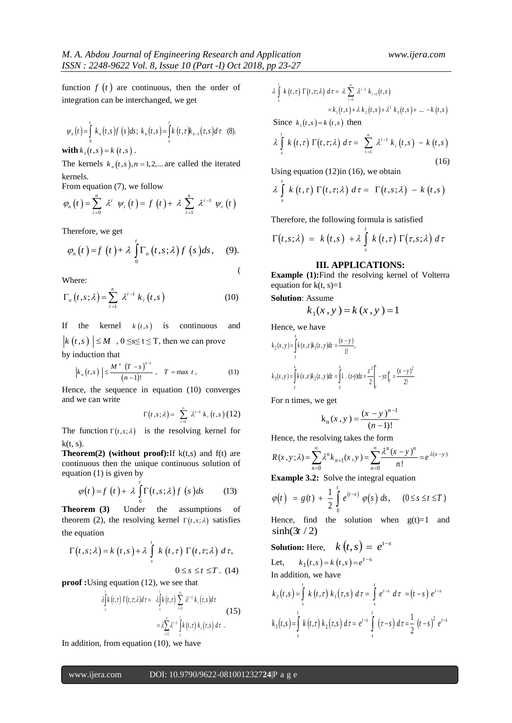function  $f(t)$  are continuous, then the order of integration can be interchanged, we get

$$
\psi_n(t) = \int_0^t k_n(t,s) f(s) ds; k_n(t,s) = \int_s^t k(t,\tau) k_{n-1}(\tau,s) d\tau
$$
 (8).

**with**  $k_1(t, s) = k(t, s)$ .

The kernels  $k_n(t,s)$ ,  $n = 1,2,...$  are called the iterated kernels.

From equation (7), we follow  
\n
$$
\varphi_n(t) = \sum_{i=0}^n \lambda^i \psi_i(t) = f(t) + \lambda \sum_{i=1}^n \lambda^{i-1} \psi_i(t)
$$

Therefore, we get

Therefore, we get  
\n
$$
\varphi_n(t) = f(t) + \lambda \int_0^t \Gamma_n(t, s; \lambda) f(s) ds, \quad (9).
$$

Where:

Where:  
\n
$$
\Gamma_n(t,s;\lambda) = \sum_{i=1}^n \lambda^{i-1} k_i(t,s)
$$
\n(10)

If the kernel  $k(t,s)$  is continuous and  $k(t,s)$   $\leq M$ ,  $0 \leq s \leq t \leq T$ , then we can prove by induction that

$$
|\text{nauction that}|\n\left| k_n(t,s) \right| \le \frac{M^n (T - s)^{n-1}}{(n-1)!}, \quad T = \max t, \tag{11}
$$

Hence, the sequence in equation (10) converges and we can write

$$
\Gamma(t,s;\lambda) = \sum_{i=1}^{\infty} \lambda^{i-1} k_i(t,s) (12)
$$

The function  $\Gamma(t,s;\lambda)$  is the resolving kernel for  $k(t, s)$ .

**Theorem(2) (without proof):**If k(t,s) and f(t) are continuous then the unique continuous solution of equation (1) is given by

$$
\varphi(t) = f(t) + \lambda \int_{0}^{t} \Gamma(t, s; \lambda) f(s) ds \qquad (13)
$$

**Theorem (3)** Under the assumptions of theorem (2), the resolving kernel  $\Gamma(t, s; \lambda)$  satisfies the equation

$$
\Gamma(t,s;\lambda) = k(t,s) + \lambda \int_{s}^{t} k(t,\tau) \Gamma(t,\tau;\lambda) d\tau,
$$
  

$$
0 \leq s \leq t \leq T. (14)
$$

**proof :** Using equation (12), we see that  
\n
$$
\lambda \int_{s}^{t} k(t,\tau) \Gamma(t,\tau;\lambda) d\tau = \lambda \int_{s}^{t} k(t,\tau) \sum_{i=1}^{\infty} \lambda^{i-1} k_{i}(\tau,s) d\tau
$$
\n
$$
= \lambda \sum_{i=1}^{\infty} \lambda^{i-1} \int_{s}^{t} k(t,\tau) k_{i}(\tau,s) d\tau
$$
\n(15)

In addition, from equation (10), we have

$$
\lambda \int_{s}^{t} k(t, \tau) \Gamma(t, \tau; \lambda) d\tau = \lambda \sum_{i=1}^{\infty} \lambda^{i-1} k_{i+1}(t, s)
$$
  
=  $k_1(t, s) + \lambda k_2(t, s) + \lambda^2 k_3(t, s) + ... - k(t, s)$ 

Since  $k_1(t,s) = k(t,s)$  then

$$
\lambda \int_{s}^{t} k(t,\tau) \Gamma(t,\tau;\lambda) d\tau = \sum_{i=1}^{\infty} \lambda^{i-1} k_{i}(t,s) - k(t,s)
$$
\n(16)

Using equation (12)in (16), we obtain  
\n
$$
\lambda \int_{s}^{t} k(t, \tau) \Gamma(t, \tau; \lambda) d\tau = \Gamma(t, s; \lambda) - k(t, s)
$$

Therefore, the following formula is satisfied  
\n
$$
\Gamma(t,s;\lambda) = k(t,s) + \lambda \int_{s}^{t} k(t,\tau) \Gamma(\tau,s;\lambda) d\tau
$$

#### **III. APPLICATIONS:**

**Example (1):**Find the resolving kernel of Volterra equation for  $k(t, s)=1$ 

**Solution**: Assume

Assume  

$$
k_1(x, y) = k(x, y) = 1
$$

Hence, we have  
\n
$$
k_2(x, y) = \int_{y}^{x} k(x, z) k_1(z, y) dz = \frac{(x - y)}{1!},
$$
\n
$$
k_3(x, y) = \int_{y}^{x} k(x, z) k_2(z, y) dz = \int_{y}^{x} 1 \cdot (z - y) dz = \frac{z^2}{2} \Big|_{y}^{x} - yz \Big|_{y}^{x} = \frac{(x - y)^2}{2!}
$$

For n times, we get

$$
k_n(x, y) = \frac{(x - y)^{n-1}}{(n-1)!}
$$

Hence, the resolving takes the form  
\n
$$
R(x, y; \lambda) = \sum_{n=0}^{\infty} \lambda^n k_{n+1}(x, y) = \sum_{n=0}^{\infty} \frac{\lambda^n (x - y)^n}{n!} = e^{\lambda(x - y)}
$$

**Example 3.2:** Solve the integral equation  
\n
$$
\varphi(t) = g(t) + \frac{1}{2} \int_{0}^{t} e^{(t-s)} \varphi(s) ds, \quad (0 \le s \le t \le T)
$$

Hence, find the solution when  $g(t)=1$  and  $\sinh(3t/2)$ 

**Solution:** Here,  $k(t,s) = e^{t-s}$ Let,  $k_1(t,s) = k(t,s) = e^{t-s}$ 

In addition, we have  
\n
$$
k_2(t,s) = \int_{s}^{t} k(t,\tau) k_1(\tau,s) d\tau = \int_{s}^{t} e^{t-s} d\tau = (t-s) e^{t-s}
$$
\n
$$
k_3(t,s) = \int_{s}^{t} k(t,\tau) k_2(\tau,s) d\tau = e^{t-s} \int_{s}^{t} (\tau-s) d\tau = \frac{1}{2} (t-s)^2 e^{t-s}
$$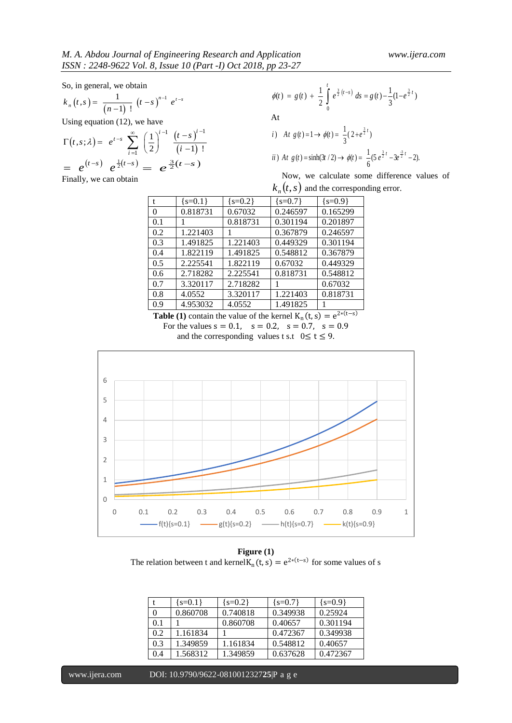So, in general, we obtain

$$
k_n(t,s) = \frac{1}{(n-1)!} (t-s)^{n-1} e^{t-s}
$$

Using equation (12), we have

Using equation (12), we have  
\n
$$
\Gamma(t,s;\lambda) = e^{t-s} \sum_{i=1}^{\infty} \left(\frac{1}{2}\right)^{i-1} \frac{(t-s)^{i-1}}{(i-1)!}
$$
\n
$$
= e^{(t-s)} e^{\frac{1}{2}(t-s)} = e^{\frac{3}{2}(t-s)}
$$

Finally, we can obtain

$$
\phi(t) = g(t) + \frac{1}{2} \int_{0}^{t} e^{\frac{3}{2}(t-s)} ds = g(t) - \frac{1}{3} (1 - e^{\frac{3}{2}t})
$$
  
At

*i*) At 
$$
g(t) = 1 \rightarrow \phi(t) = \frac{1}{3}(2 + e^{\frac{3}{2}t})
$$
  
*ii*) At  $g(t) = \sinh(3t/2) \rightarrow \phi(t) = \frac{1}{6}(5 e^{\frac{3}{2}t} - 3e^{\frac{3}{2}t} - 2)$ .

Now, we calculate some difference values of

 $k_n(t, s)$  and the corresponding error.

| t   | ${s=0.1}$ | ${s=0.2}$ | ${s=0.7}$ | ${s=0.9}$ |
|-----|-----------|-----------|-----------|-----------|
| 0   | 0.818731  | 0.67032   | 0.246597  | 0.165299  |
| 0.1 |           | 0.818731  | 0.301194  | 0.201897  |
| 0.2 | 1.221403  |           | 0.367879  | 0.246597  |
| 0.3 | 1.491825  | 1.221403  | 0.449329  | 0.301194  |
| 0.4 | 1.822119  | 1.491825  | 0.548812  | 0.367879  |
| 0.5 | 2.225541  | 1.822119  | 0.67032   | 0.449329  |
| 0.6 | 2.718282  | 2.225541  | 0.818731  | 0.548812  |
| 0.7 | 3.320117  | 2.718282  |           | 0.67032   |
| 0.8 | 4.0552    | 3.320117  | 1.221403  | 0.818731  |
| 0.9 | 4.953032  | 4.0552    | 1.491825  |           |

**Table (1)** contain the value of the kernel  $K_n(t, s) = e^{2*(t-s)}$ For the values  $s = 0.1$ ,  $s = 0.2$ ,  $s = 0.7$ ,  $s = 0.9$ and the corresponding values t s.t  $0 \le t \le 9$ .



**Figure (1)** The relation between t and kernel $K_n(t, s) = e^{2*(t-s)}$  for some values of s

|     | $\{s=0.1\}$ | $\{s=0.2\}$ | ${s=0.7}$ | $\{s=0.9\}$ |
|-----|-------------|-------------|-----------|-------------|
|     | 0.860708    | 0.740818    | 0.349938  | 0.25924     |
| 0.1 |             | 0.860708    | 0.40657   | 0.301194    |
| 0.2 | 1.161834    |             | 0.472367  | 0.349938    |
| 0.3 | 1.349859    | 1.161834    | 0.548812  | 0.40657     |
| 0.4 | 1.568312    | 1.349859    | 0.637628  | 0.472367    |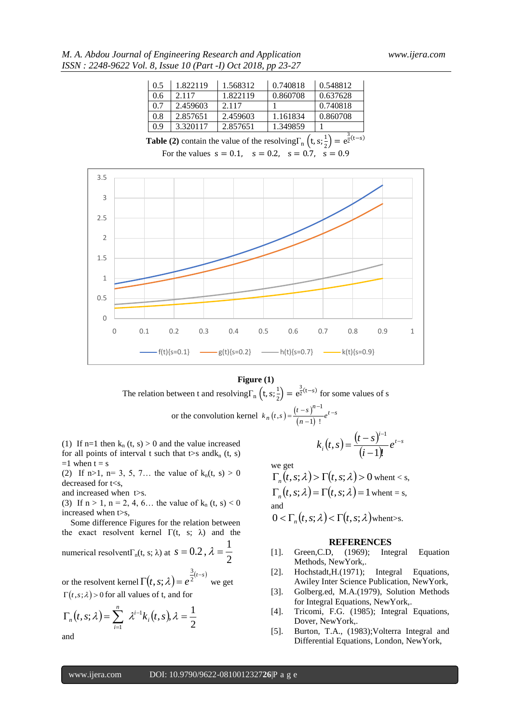*M. A. Abdou Journal of Engineering Research and Application www.ijera.com ISSN : 2248-9622 Vol. 8, Issue 10 (Part -I) Oct 2018, pp 23-27*

| 0.5 | 1.822119 | 1.568312 | 0.740818 | 0.548812 |
|-----|----------|----------|----------|----------|
| 0.6 | 2.117    | 1.822119 | 0.860708 | 0.637628 |
| 0.7 | 2.459603 | 2.117    |          | 0.740818 |
| 0.8 | 2.857651 | 2.459603 | 1.161834 | 0.860708 |
| 0.9 | 3.320117 | 2.857651 | 1.349859 |          |

**Table (2)** contain the value of the resolving  $\Gamma_n$  (t, s;  $\frac{1}{2}$ )  $\frac{1}{2}$  =  $e^{\frac{3}{2}(t-s)}$ For the values  $s = 0.1$ ,  $s = 0.2$ ,  $s = 0.7$ ,  $s = 0.9$ 



## **Figure (1)**

The relation between t and resolving  $\Gamma_n$  (t, s;  $\frac{1}{2}$ )  $\left(\frac{1}{2}\right) = e^{\frac{3}{2}(t-s)}$  for some values of s 1

or the convolution kernel  $k_n(t,s) = \frac{(t-s)^n}{(s-a)^n}$  $(n-1)$  $(s) = \frac{(s-1)}{(n-1)!}$  $f_n(t,s) = \frac{(t-s)^{n-1}}{(n-1)!}e^{t-s}$  $k_n(t,s) = \frac{(t-s)^{n-1}}{(n-1)!}e^{-\frac{(t-s)^n}{t}}$  $=\frac{(t-s)^{n-1}}{(n-1)!}e^{t-1}$ 

(1) If n=1 then  $k_n$  (t, s) > 0 and the value increased for all points of interval t such that  $t$ >s and $k_n$  (t, s)  $=1$  when  $t = s$ 

(2) If n>1, n= 3, 5, 7... the value of  $k_n(t, s) > 0$ decreased for t<s,

and increased when t>s.

(3) If  $n > 1$ ,  $n = 2, 4, 6...$  the value of  $k_n$  (t, s) < 0 increased when t>s,

 Some difference Figures for the relation between the exact resolvent kernel  $\Gamma(t, s; \lambda)$  and the

numerical resolvent<sub>n</sub>(t, s; 
$$
\lambda
$$
) at  $s = 0.2$ ,  $\lambda = \frac{1}{2}$ 

or the resolvent kernel  $\Gamma(t, s; \lambda) = e^{\frac{z^{(t-s)}}{2}}$ 3  $(s; \lambda) = e^{2^{(k-1)}}$  we get  $\Gamma(t, s; \lambda) > 0$  for all values of t, and for

$$
\Gamma_n(t,s;\lambda) = \sum_{i=1}^n \lambda^{i-1} k_i(t,s), \lambda = \frac{1}{2}
$$

and

$$
k_i(t,s) = \frac{(t-s)^{i-1}}{(i-1)!}e^{t-s}
$$

we get

 $\Gamma_n(t, s; \lambda) > \Gamma(t, s; \lambda) > 0$  whent < s,  $\Gamma_n(t, s; \lambda) = \Gamma(t, s; \lambda) = 1$  whent = s, and

 $0 < \Gamma_n(t, s; \lambda) < \Gamma(t, s; \lambda)$  whent>s.

#### **REFERENCES**

- [1]. Green, C.D, (1969); Integral Equation Methods, NewYork,.
- [2]. Hochstadt,H.(1971); Integral Equations, Awiley Inter Science Publication, NewYork,
- [3]. Golberg.ed, M.A.(1979), Solution Methods for Integral Equations, NewYork,.
- [4]. Tricomi, F.G. (1985); Integral Equations, Dover, NewYork,.
- [5]. Burton, T.A., (1983);Volterra Integral and Differential Equations, London, NewYork,